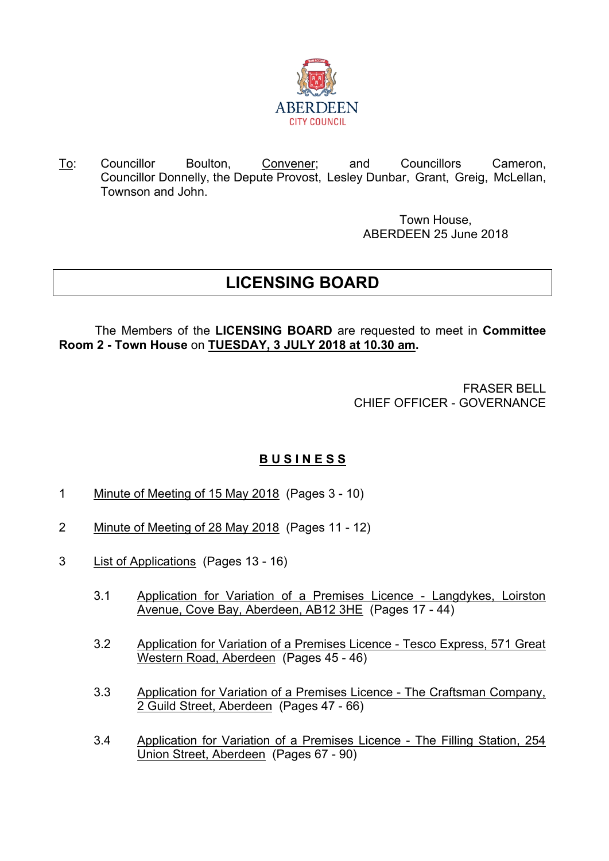

To: Councillor Boulton, Convener; and Councillors Cameron, Councillor Donnelly, the Depute Provost, Lesley Dunbar, Grant, Greig, McLellan, Townson and John.

> Town House, ABERDEEN 25 June 2018

## **LICENSING BOARD**

The Members of the **LICENSING BOARD** are requested to meet in **Committee Room 2 - Town House** on **TUESDAY, 3 JULY 2018 at 10.30 am.**

> FRASER BELL CHIEF OFFICER - GOVERNANCE

## **B U S I N E S S**

- 1 Minute of Meeting of 15 May 2018 (Pages 3 10)
- 2 Minute of Meeting of 28 May 2018 (Pages 11 12)
- 3 List of Applications (Pages 13 16)
	- 3.1 Application for Variation of a Premises Licence Langdykes, Loirston Avenue, Cove Bay, Aberdeen, AB12 3HE (Pages 17 - 44)
	- 3.2 Application for Variation of a Premises Licence Tesco Express, 571 Great Western Road, Aberdeen (Pages 45 - 46)
	- 3.3 Application for Variation of a Premises Licence The Craftsman Company, 2 Guild Street, Aberdeen (Pages 47 - 66)
	- 3.4 Application for Variation of a Premises Licence The Filling Station, 254 Union Street, Aberdeen (Pages 67 - 90)